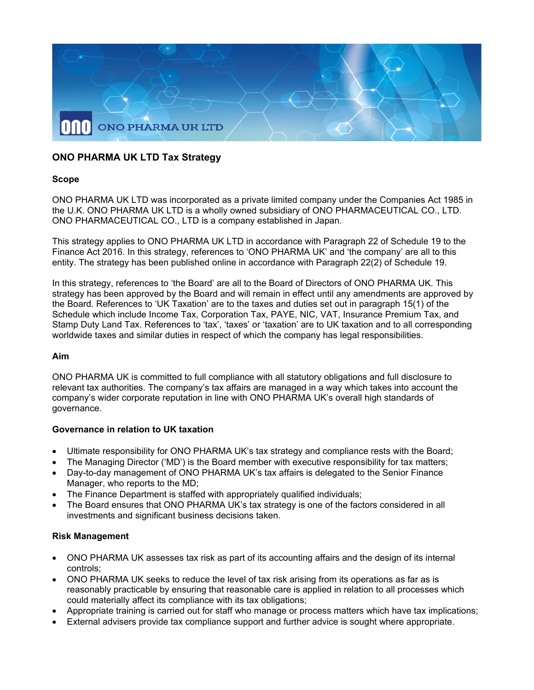

# **ONO PHARMA UK LTD Tax Strategy**

# **Scope**

ONO PHARMA UK LTD was incorporated as a private limited company under the Companies Act 1985 in the U.K. ONO PHARMA UK LTD is a wholly owned subsidiary of ONO PHARMACEUTICAL CO., LTD. ONO PHARMACEUTICAL CO., LTD is a company established in Japan.

This strategy applies to ONO PHARMA UK LTD in accordance with Paragraph 22 of Schedule 19 to the Finance Act 2016. In this strategy, references to 'ONO PHARMA UK' and 'the company' are all to this entity. The strategy has been published online in accordance with Paragraph 22(2) of Schedule 19.

In this strategy, references to 'the Board' are all to the Board of Directors of ONO PHARMA UK. This strategy has been approved by the Board and will remain in effect until any amendments are approved by the Board. References to 'UK Taxation' are to the taxes and duties set out in paragraph 15(1) of the Schedule which include Income Tax, Corporation Tax, PAYE, NIC, VAT, Insurance Premium Tax, and Stamp Duty Land Tax. References to 'tax', 'taxes' or 'taxation' are to UK taxation and to all corresponding worldwide taxes and similar duties in respect of which the company has legal responsibilities.

#### **Aim**

ONO PHARMA UK is committed to full compliance with all statutory obligations and full disclosure to relevant tax authorities. The company's tax affairs are managed in a way which takes into account the company's wider corporate reputation in line with ONO PHARMA UK's overall high standards of governance.

# **Governance in relation to UK taxation**

- Ultimate responsibility for ONO PHARMA UK's tax strategy and compliance rests with the Board;
- The Managing Director ('MD') is the Board member with executive responsibility for tax matters;
- Day-to-day management of ONO PHARMA UK's tax affairs is delegated to the Senior Finance Manager, who reports to the MD;
- The Finance Department is staffed with appropriately qualified individuals;
- The Board ensures that ONO PHARMA UK's tax strategy is one of the factors considered in all investments and significant business decisions taken.

# **Risk Management**

- ONO PHARMA UK assesses tax risk as part of its accounting affairs and the design of its internal controls;
- ONO PHARMA UK seeks to reduce the level of tax risk arising from its operations as far as is reasonably practicable by ensuring that reasonable care is applied in relation to all processes which could materially affect its compliance with its tax obligations;
- Appropriate training is carried out for staff who manage or process matters which have tax implications;
- External advisers provide tax compliance support and further advice is sought where appropriate.